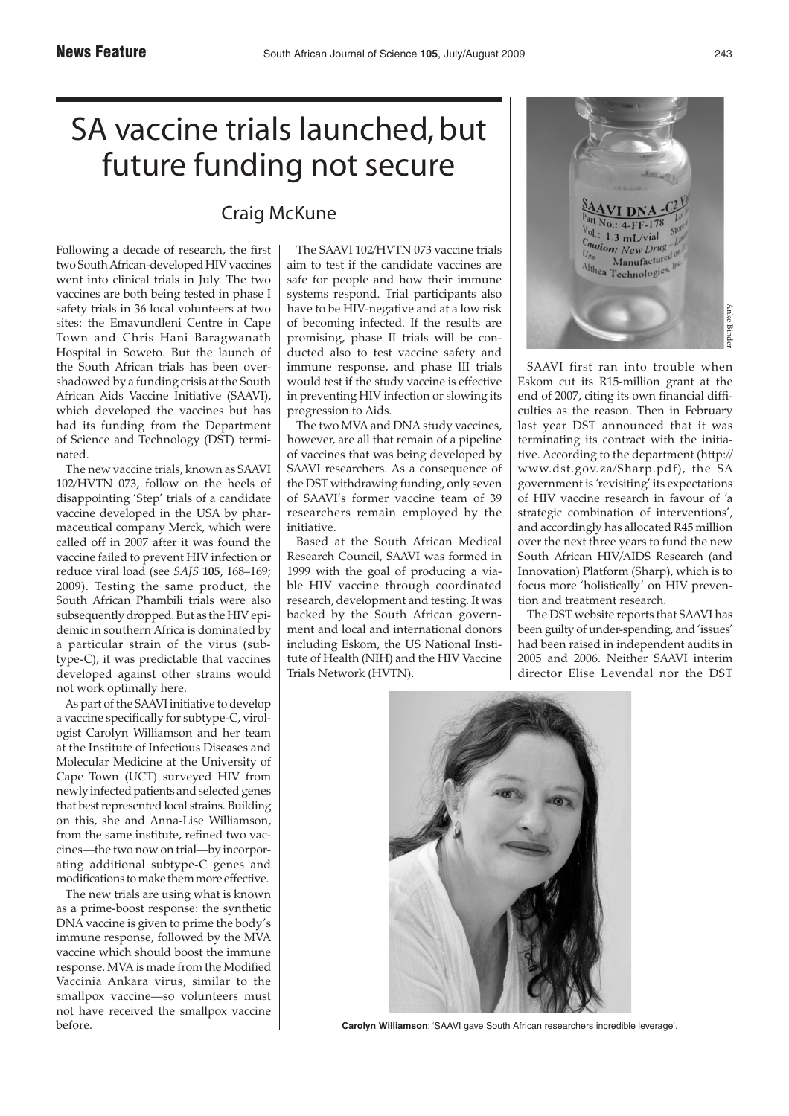## SA vaccine trials launched, but future funding not secure

## Craig McKune

Following a decade of research, the first two South African-developed HIV vaccines went into clinical trials in July. The two vaccines are both being tested in phase I safety trials in 36 local volunteers at two sites: the Emavundleni Centre in Cape Town and Chris Hani Baragwanath Hospital in Soweto. But the launch of the South African trials has been overshadowed by a funding crisis at the South African Aids Vaccine Initiative (SAAVI), which developed the vaccines but has had its funding from the Department of Science and Technology (DST) terminated.

The new vaccine trials, known as SAAVI 102/HVTN 073, follow on the heels of disappointing 'Step' trials of a candidate vaccine developed in the USA by pharmaceutical company Merck, which were called off in 2007 after it was found the vaccine failed to prevent HIV infection or reduce viral load (see *SAJS* **105**, 168–169; 2009). Testing the same product, the South African Phambili trials were also subsequently dropped. But as the HIV epidemic in southern Africa is dominated by a particular strain of the virus (subtype-C), it was predictable that vaccines developed against other strains would not work optimally here.

As part of the SAAVI initiative to develop a vaccine specifically for subtype-C, virologist Carolyn Williamson and her team at the Institute of Infectious Diseases and Molecular Medicine at the University of Cape Town (UCT) surveyed HIV from newly infected patients and selected genes that best represented local strains. Building on this, she and Anna-Lise Williamson, from the same institute, refined two vaccines—the two now on trial—by incorporating additional subtype-C genes and modifications to make them more effective.

The new trials are using what is known as a prime-boost response: the synthetic DNA vaccine is given to prime the body's immune response, followed by the MVA vaccine which should boost the immune response. MVA is made from the Modified Vaccinia Ankara virus, similar to the smallpox vaccine—so volunteers must not have received the smallpox vaccine before.

The SAAVI 102/HVTN 073 vaccine trials aim to test if the candidate vaccines are safe for people and how their immune systems respond. Trial participants also have to be HIV-negative and at a low risk of becoming infected. If the results are promising, phase II trials will be conducted also to test vaccine safety and immune response, and phase III trials would test if the study vaccine is effective in preventing HIV infection or slowing its progression to Aids.

The two MVA and DNA study vaccines, however, are all that remain of a pipeline of vaccines that was being developed by SAAVI researchers. As a consequence of the DST withdrawing funding, only seven of SAAVI's former vaccine team of 39 researchers remain employed by the initiative.

Based at the South African Medical Research Council, SAAVI was formed in 1999 with the goal of producing a viable HIV vaccine through coordinated research, development and testing. It was backed by the South African government and local and international donors including Eskom, the US National Institute of Health (NIH) and the HIV Vaccine Trials Network (HVTN).



SAAVI first ran into trouble when Eskom cut its R15-million grant at the end of 2007, citing its own financial difficulties as the reason. Then in February last year DST announced that it was terminating its contract with the initiative. According to the department (http:// www.dst.gov.za/Sharp.pdf), the SA government is 'revisiting' its expectations of HIV vaccine research in favour of 'a strategic combination of interventions', and accordingly has allocated R45 million over the next three years to fund the new South African HIV/AIDS Research (and Innovation) Platform (Sharp), which is to focus more 'holistically' on HIV prevention and treatment research.

The DST website reports that SAAVI has been guilty of under-spending, and 'issues' had been raised in independent audits in 2005 and 2006. Neither SAAVI interim director Elise Levendal nor the DST



**Carolyn Williamson**: 'SAAVI gave South African researchers incredible leverage'.